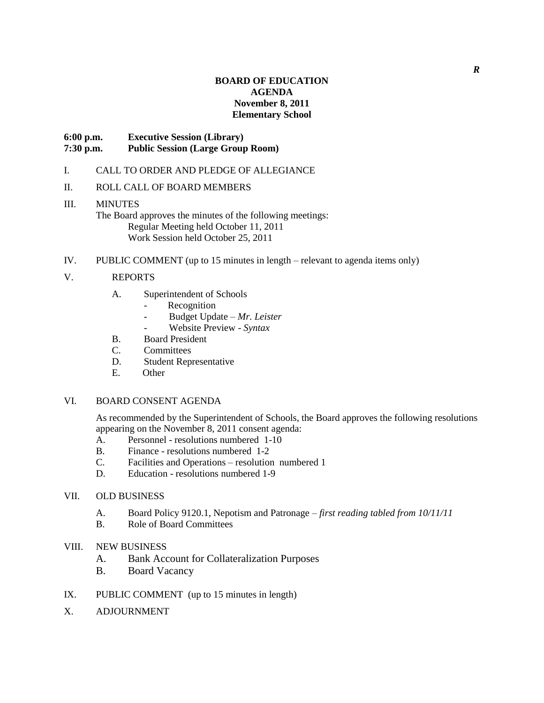### **BOARD OF EDUCATION AGENDA November 8, 2011 Elementary School**

## **6:00 p.m. Executive Session (Library) 7:30 p.m. Public Session (Large Group Room)**

#### I. CALL TO ORDER AND PLEDGE OF ALLEGIANCE

#### II. ROLL CALL OF BOARD MEMBERS

# III. MINUTES

The Board approves the minutes of the following meetings: Regular Meeting held October 11, 2011 Work Session held October 25, 2011

IV. PUBLIC COMMENT (up to 15 minutes in length – relevant to agenda items only)

#### V. REPORTS

- A. Superintendent of Schools
	- Recognition
	- Budget Update *Mr. Leister*
	- Website Preview *Syntax*
- B. Board President
- C. Committees
- D. Student Representative
- E. Other

#### VI. BOARD CONSENT AGENDA

As recommended by the Superintendent of Schools, the Board approves the following resolutions appearing on the November 8, 2011 consent agenda:

- A. Personnel resolutions numbered 1-10
- B. Finance resolutions numbered 1-2
- C. Facilities and Operations resolution numbered 1
- D. Education resolutions numbered 1-9
- VII. OLD BUSINESS
	- A. Board Policy 9120.1, Nepotism and Patronage *first reading tabled from 10/11/11*
	- B. Role of Board Committees
- VIII. NEW BUSINESS
	- A. Bank Account for Collateralization Purposes
	- B. Board Vacancy
- IX. PUBLIC COMMENT (up to 15 minutes in length)
- X. ADJOURNMENT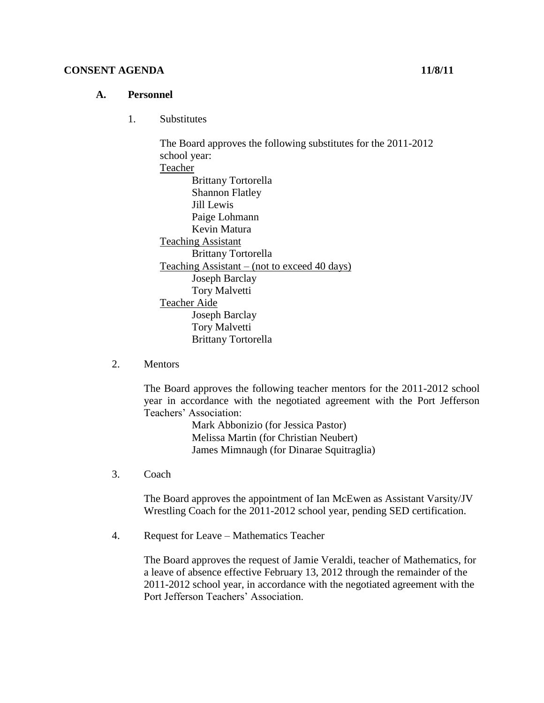## **CONSENT AGENDA 11/8/11**

## **A. Personnel**

1. Substitutes

The Board approves the following substitutes for the 2011-2012 school year: Teacher Brittany Tortorella Shannon Flatley Jill Lewis Paige Lohmann Kevin Matura Teaching Assistant Brittany Tortorella Teaching Assistant – (not to exceed 40 days) Joseph Barclay Tory Malvetti Teacher Aide Joseph Barclay Tory Malvetti Brittany Tortorella

2. Mentors

The Board approves the following teacher mentors for the 2011-2012 school year in accordance with the negotiated agreement with the Port Jefferson Teachers' Association:

> Mark Abbonizio (for Jessica Pastor) Melissa Martin (for Christian Neubert) James Mimnaugh (for Dinarae Squitraglia)

3. Coach

The Board approves the appointment of Ian McEwen as Assistant Varsity/JV Wrestling Coach for the 2011-2012 school year, pending SED certification.

4. Request for Leave – Mathematics Teacher

The Board approves the request of Jamie Veraldi, teacher of Mathematics, for a leave of absence effective February 13, 2012 through the remainder of the 2011-2012 school year, in accordance with the negotiated agreement with the Port Jefferson Teachers' Association.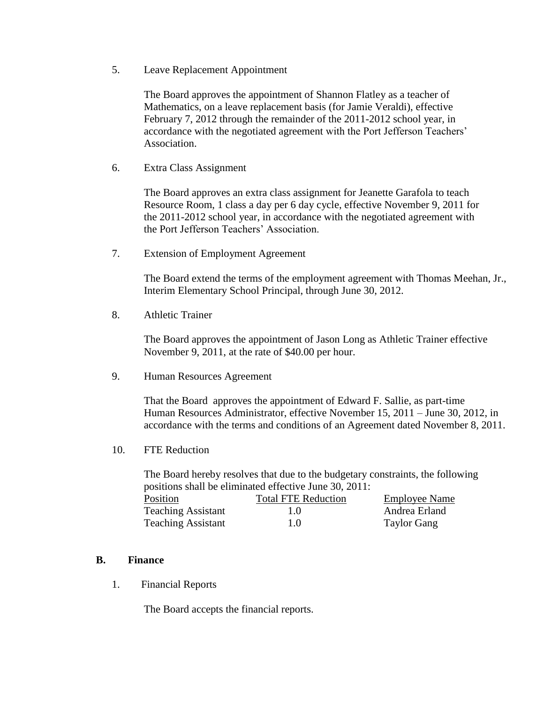5. Leave Replacement Appointment

The Board approves the appointment of Shannon Flatley as a teacher of Mathematics, on a leave replacement basis (for Jamie Veraldi), effective February 7, 2012 through the remainder of the 2011-2012 school year, in accordance with the negotiated agreement with the Port Jefferson Teachers' Association.

6. Extra Class Assignment

The Board approves an extra class assignment for Jeanette Garafola to teach Resource Room, 1 class a day per 6 day cycle, effective November 9, 2011 for the 2011-2012 school year, in accordance with the negotiated agreement with the Port Jefferson Teachers' Association.

7. Extension of Employment Agreement

The Board extend the terms of the employment agreement with Thomas Meehan, Jr., Interim Elementary School Principal, through June 30, 2012.

8. Athletic Trainer

The Board approves the appointment of Jason Long as Athletic Trainer effective November 9, 2011, at the rate of \$40.00 per hour.

9. Human Resources Agreement

That the Board approves the appointment of Edward F. Sallie, as part-time Human Resources Administrator, effective November 15, 2011 – June 30, 2012, in accordance with the terms and conditions of an Agreement dated November 8, 2011.

10. FTE Reduction

The Board hereby resolves that due to the budgetary constraints, the following positions shall be eliminated effective June 30, 2011:

| Position                  | <b>Total FTE Reduction</b> | <b>Employee Name</b> |
|---------------------------|----------------------------|----------------------|
| <b>Teaching Assistant</b> | 1.0                        | Andrea Erland        |
| <b>Teaching Assistant</b> | 1.0                        | <b>Taylor Gang</b>   |

#### **B. Finance**

1. Financial Reports

The Board accepts the financial reports.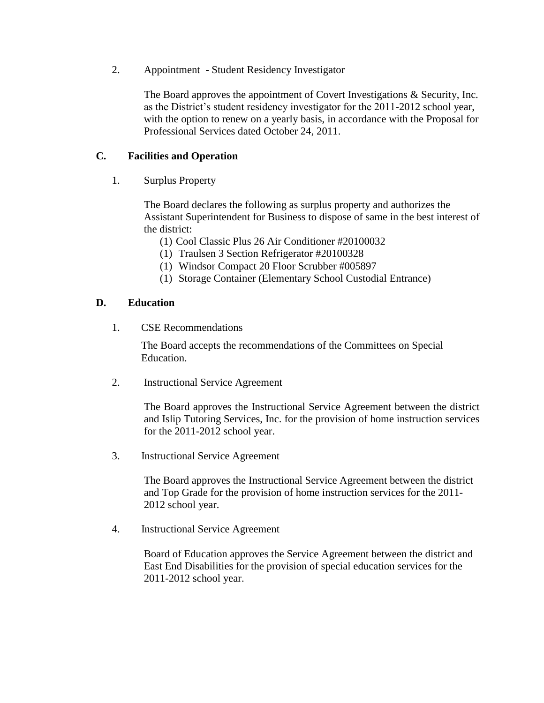2. Appointment - Student Residency Investigator

The Board approves the appointment of Covert Investigations & Security, Inc. as the District's student residency investigator for the 2011-2012 school year, with the option to renew on a yearly basis, in accordance with the Proposal for Professional Services dated October 24, 2011.

## **C. Facilities and Operation**

1. Surplus Property

The Board declares the following as surplus property and authorizes the Assistant Superintendent for Business to dispose of same in the best interest of the district:

- (1) Cool Classic Plus 26 Air Conditioner #20100032
- (1) Traulsen 3 Section Refrigerator #20100328
- (1) Windsor Compact 20 Floor Scrubber #005897
- (1) Storage Container (Elementary School Custodial Entrance)

## **D. Education**

1. CSE Recommendations

The Board accepts the recommendations of the Committees on Special Education.

2. Instructional Service Agreement

The Board approves the Instructional Service Agreement between the district and Islip Tutoring Services, Inc. for the provision of home instruction services for the 2011-2012 school year.

3. Instructional Service Agreement

The Board approves the Instructional Service Agreement between the district and Top Grade for the provision of home instruction services for the 2011- 2012 school year.

4. Instructional Service Agreement

Board of Education approves the Service Agreement between the district and East End Disabilities for the provision of special education services for the 2011-2012 school year.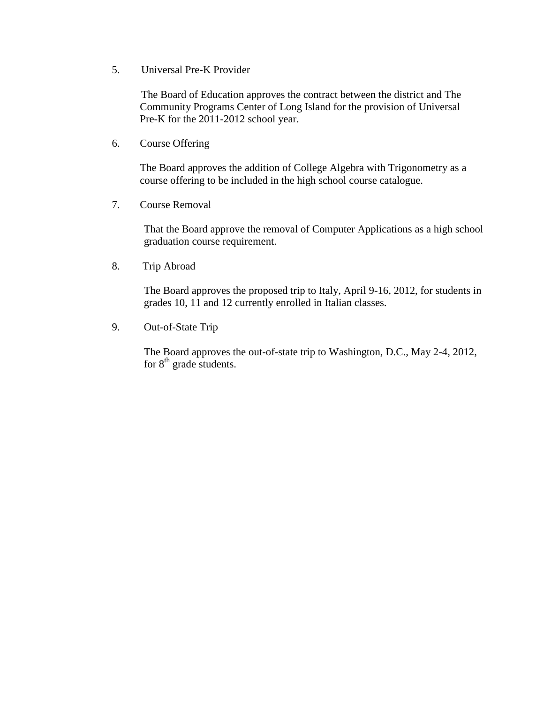5. Universal Pre-K Provider

 The Board of Education approves the contract between the district and The Community Programs Center of Long Island for the provision of Universal Pre-K for the 2011-2012 school year.

6. Course Offering

The Board approves the addition of College Algebra with Trigonometry as a course offering to be included in the high school course catalogue.

7. Course Removal

That the Board approve the removal of Computer Applications as a high school graduation course requirement.

8. Trip Abroad

The Board approves the proposed trip to Italy, April 9-16, 2012, for students in grades 10, 11 and 12 currently enrolled in Italian classes.

9. Out-of-State Trip

The Board approves the out-of-state trip to Washington, D.C., May 2-4, 2012, for  $8<sup>th</sup>$  grade students.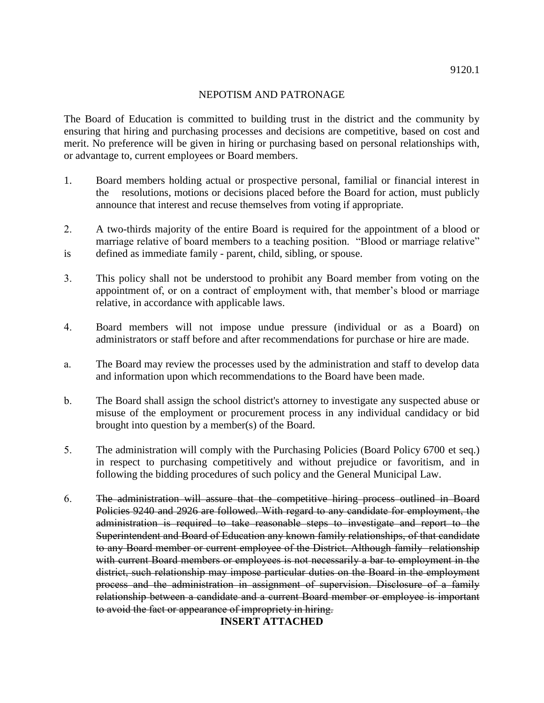### NEPOTISM AND PATRONAGE

The Board of Education is committed to building trust in the district and the community by ensuring that hiring and purchasing processes and decisions are competitive, based on cost and merit. No preference will be given in hiring or purchasing based on personal relationships with, or advantage to, current employees or Board members.

- 1. Board members holding actual or prospective personal, familial or financial interest in the resolutions, motions or decisions placed before the Board for action, must publicly announce that interest and recuse themselves from voting if appropriate.
- 2. A two-thirds majority of the entire Board is required for the appointment of a blood or marriage relative of board members to a teaching position. "Blood or marriage relative" is defined as immediate family - parent, child, sibling, or spouse.
- 3. This policy shall not be understood to prohibit any Board member from voting on the appointment of, or on a contract of employment with, that member's blood or marriage relative, in accordance with applicable laws.
- 4. Board members will not impose undue pressure (individual or as a Board) on administrators or staff before and after recommendations for purchase or hire are made.
- a. The Board may review the processes used by the administration and staff to develop data and information upon which recommendations to the Board have been made.
- b. The Board shall assign the school district's attorney to investigate any suspected abuse or misuse of the employment or procurement process in any individual candidacy or bid brought into question by a member(s) of the Board.
- 5. The administration will comply with the Purchasing Policies (Board Policy 6700 et seq.) in respect to purchasing competitively and without prejudice or favoritism, and in following the bidding procedures of such policy and the General Municipal Law.
- 6. The administration will assure that the competitive hiring process outlined in Board Policies 9240 and 2926 are followed. With regard to any candidate for employment, the administration is required to take reasonable steps to investigate and report to the Superintendent and Board of Education any known family relationships, of that candidate to any Board member or current employee of the District. Although family relationship with current Board members or employees is not necessarily a bar to employment in the district, such relationship may impose particular duties on the Board in the employment process and the administration in assignment of supervision. Disclosure of a family relationship between a candidate and a current Board member or employee is important to avoid the fact or appearance of impropriety in hiring.

## **INSERT ATTACHED**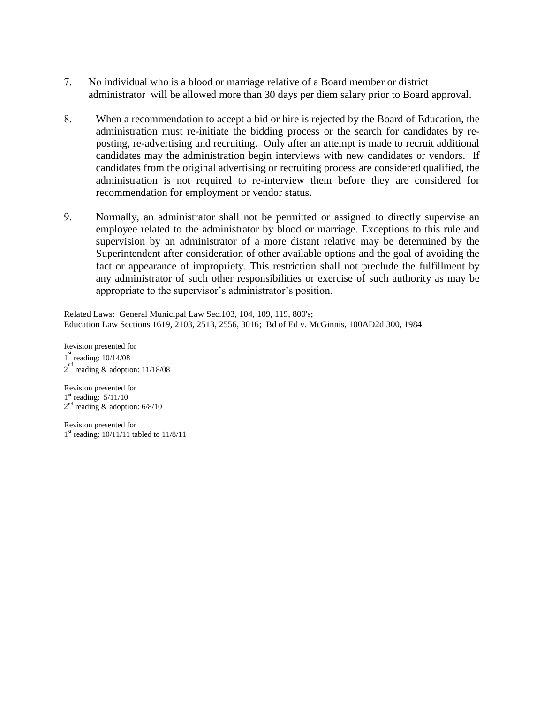- 7. No individual who is a blood or marriage relative of a Board member or district administrator will be allowed more than 30 days per diem salary prior to Board approval.
- 8. When a recommendation to accept a bid or hire is rejected by the Board of Education, the administration must re-initiate the bidding process or the search for candidates by reposting, re-advertising and recruiting. Only after an attempt is made to recruit additional candidates may the administration begin interviews with new candidates or vendors. If candidates from the original advertising or recruiting process are considered qualified, the administration is not required to re-interview them before they are considered for recommendation for employment or vendor status.
- 9. Normally, an administrator shall not be permitted or assigned to directly supervise an employee related to the administrator by blood or marriage. Exceptions to this rule and supervision by an administrator of a more distant relative may be determined by the Superintendent after consideration of other available options and the goal of avoiding the fact or appearance of impropriety. This restriction shall not preclude the fulfillment by any administrator of such other responsibilities or exercise of such authority as may be appropriate to the supervisor's administrator's position.

Related Laws: General Municipal Law Sec.103, 104, 109, 119, 800's; Education Law Sections 1619, 2103, 2513, 2556, 3016; Bd of Ed v. McGinnis, 100AD2d 300, 1984

Revision presented for 1<sup>st</sup> reading: 10/14/08  $2^{nd}$  reading & adoption: 11/18/08

Revision presented for 1<sup>st</sup> reading: 5/11/10  $2<sup>nd</sup>$  reading & adoption: 6/8/10

Revision presented for 1 st reading: 10/11/11 tabled to 11/8/11